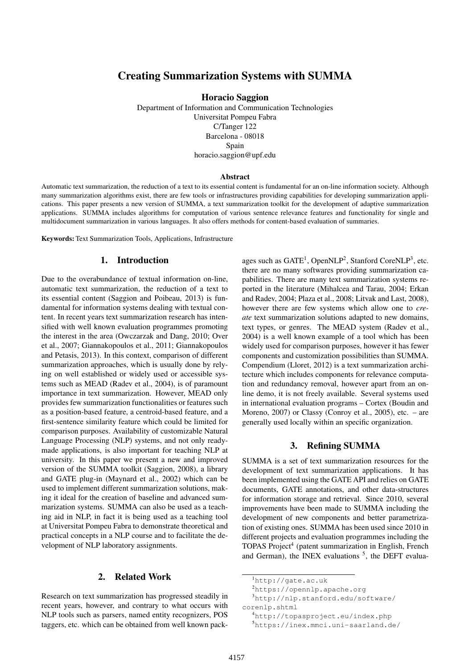# Creating Summarization Systems with SUMMA

Horacio Saggion

Department of Information and Communication Technologies Universitat Pompeu Fabra C/Tanger 122 Barcelona - 08018 Spain horacio.saggion@upf.edu

#### Abstract

Automatic text summarization, the reduction of a text to its essential content is fundamental for an on-line information society. Although many summarization algorithms exist, there are few tools or infrastructures providing capabilities for developing summarization applications. This paper presents a new version of SUMMA, a text summarization toolkit for the development of adaptive summarization applications. SUMMA includes algorithms for computation of various sentence relevance features and functionality for single and multidocument summarization in various languages. It also offers methods for content-based evaluation of summaries.

Keywords: Text Summarization Tools, Applications, Infrastructure

#### 1. Introduction

Due to the overabundance of textual information on-line, automatic text summarization, the reduction of a text to its essential content (Saggion and Poibeau, 2013) is fundamental for information systems dealing with textual content. In recent years text summarization research has intensified with well known evaluation programmes promoting the interest in the area (Owczarzak and Dang, 2010; Over et al., 2007; Giannakopoulos et al., 2011; Giannakopoulos and Petasis, 2013). In this context, comparison of different summarization approaches, which is usually done by relying on well established or widely used or accessible systems such as MEAD (Radev et al., 2004), is of paramount importance in text summarization. However, MEAD only provides few summarization functionalities or features such as a position-based feature, a centroid-based feature, and a first-sentence similarity feature which could be limited for comparison purposes. Availability of customizable Natural Language Processing (NLP) systems, and not only readymade applications, is also important for teaching NLP at university. In this paper we present a new and improved version of the SUMMA toolkit (Saggion, 2008), a library and GATE plug-in (Maynard et al., 2002) which can be used to implement different summarization solutions, making it ideal for the creation of baseline and advanced summarization systems. SUMMA can also be used as a teaching aid in NLP, in fact it is being used as a teaching tool at Universitat Pompeu Fabra to demonstrate theoretical and practical concepts in a NLP course and to facilitate the development of NLP laboratory assignments.

### 2. Related Work

Research on text summarization has progressed steadily in recent years, however, and contrary to what occurs with NLP tools such as parsers, named entity recognizers, POS taggers, etc. which can be obtained from well known pack-

ages such as GATE<sup>1</sup>, OpenNLP<sup>2</sup>, Stanford CoreNLP<sup>3</sup>, etc. there are no many softwares providing summarization capabilities. There are many text summarization systems reported in the literature (Mihalcea and Tarau, 2004; Erkan and Radev, 2004; Plaza et al., 2008; Litvak and Last, 2008), however there are few systems which allow one to *create* text summarization solutions adapted to new domains, text types, or genres. The MEAD system (Radev et al., 2004) is a well known example of a tool which has been widely used for comparison purposes, however it has fewer components and customization possibilities than SUMMA. Compendium (Lloret, 2012) is a text summarization architecture which includes components for relevance computation and redundancy removal, however apart from an online demo, it is not freely available. Several systems used in international evaluation programs – Cortex (Boudin and Moreno, 2007) or Classy (Conroy et al., 2005), etc. – are generally used locally within an specific organization.

#### 3. Refining SUMMA

SUMMA is a set of text summarization resources for the development of text summarization applications. It has been implemented using the GATE API and relies on GATE documents, GATE annotations, and other data-structures for information storage and retrieval. Since 2010, several improvements have been made to SUMMA including the development of new components and better parametrization of existing ones. SUMMA has been used since 2010 in different projects and evaluation programmes including the TOPAS Project<sup>4</sup> (patent summarization in English, French and German), the INEX evaluations  $5$ , the DEFT evalua-

<sup>1</sup>http://gate.ac.uk

<sup>2</sup>https://opennlp.apache.org

<sup>3</sup>http://nlp.stanford.edu/software/ corenlp.shtml

<sup>4</sup>http://topasproject.eu/index.php

<sup>5</sup>https://inex.mmci.uni-saarland.de/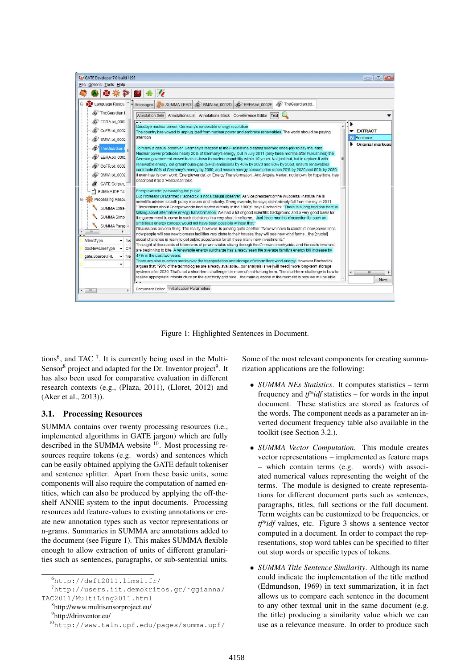

Figure 1: Highlighted Sentences in Document.

tions<sup>6</sup>, and TAC  $^7$ . It is currently being used in the Multi-Sensor<sup>8</sup> project and adapted for the Dr. Inventor project<sup>9</sup>. It has also been used for comparative evaluation in different research contexts (e.g., (Plaza, 2011), (Lloret, 2012) and (Aker et al., 2013)).

#### 3.1. Processing Resources

SUMMA contains over twenty processing resources (i.e., implemented algorithms in GATE jargon) which are fully described in the SUMMA website <sup>10</sup>. Most processing resources require tokens (e.g. words) and sentences which can be easily obtained applying the GATE default tokeniser and sentence splitter. Apart from these basic units, some components will also require the computation of named entities, which can also be produced by applying the off-theshelf ANNIE system to the input documents. Processing resources add feature-values to existing annotations or create new annotation types such as vector representations or n-grams. Summaries in SUMMA are annotations added to the document (see Figure 1). This makes SUMMA flexible enough to allow extraction of units of different granularities such as sentences, paragraphs, or sub-sentential units.

8 http://www.multisensorproject.eu/

<sup>9</sup>http://drinventor.eu/

<sup>10</sup>http://www.taln.upf.edu/pages/summa.upf/

Some of the most relevant components for creating summarization applications are the following:

- *SUMMA NEs Statistics*. It computes statistics term frequency and *tf\*idf* statistics – for words in the input document. These statistics are stored as features of the words. The component needs as a parameter an inverted document frequency table also available in the toolkit (see Section 3.2.).
- *SUMMA Vector Computation*. This module creates vector representations – implemented as feature maps – which contain terms (e.g. words) with associated numerical values representing the weight of the terms. The module is designed to create representations for different document parts such as sentences, paragraphs, titles, full sections or the full document. Term weights can be customized to be frequencies, or *tf\*idf* values, etc. Figure 3 shows a sentence vector computed in a document. In order to compact the representations, stop word tables can be specified to filter out stop words or specific types of tokens.
- *SUMMA Title Sentence Similarity*. Although its name could indicate the implementation of the title method (Edmundson, 1969) in text summarization, it in fact allows us to compare each sentence in the document to any other textual unit in the same document (e.g. the title) producing a similarity value which we can use as a relevance measure. In order to produce such

<sup>6</sup>http://deft2011.limsi.fr/

 $7$ http://users.iit.demokritos.gr/~ggianna/ TAC2011/MultiLing2011.html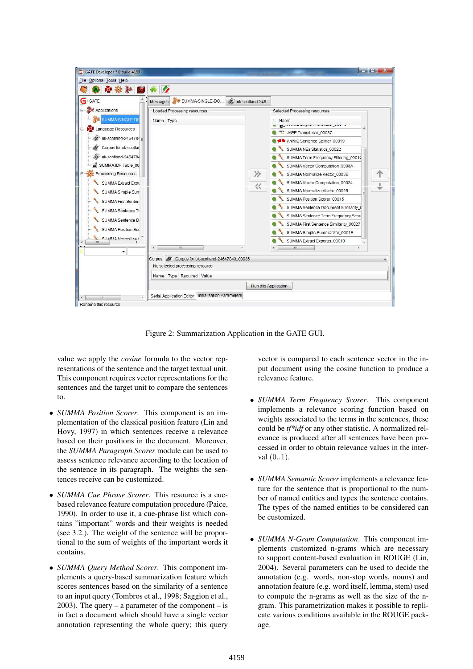| Eile Options Tools Help<br>中華辦                                                                                                                                                                                                                                                                                                                                                                        |                           |                                                                                                      |                      |                                                                                                                                                                                                                                                                                                                                                                                                                                                                                                                                                                                 |  |
|-------------------------------------------------------------------------------------------------------------------------------------------------------------------------------------------------------------------------------------------------------------------------------------------------------------------------------------------------------------------------------------------------------|---------------------------|------------------------------------------------------------------------------------------------------|----------------------|---------------------------------------------------------------------------------------------------------------------------------------------------------------------------------------------------------------------------------------------------------------------------------------------------------------------------------------------------------------------------------------------------------------------------------------------------------------------------------------------------------------------------------------------------------------------------------|--|
| G<br>GATE                                                                                                                                                                                                                                                                                                                                                                                             | Messages                  | SUMMA-SINGLE-DO                                                                                      | G uk-scotland-246.   |                                                                                                                                                                                                                                                                                                                                                                                                                                                                                                                                                                                 |  |
| <b>Applications</b><br>SUMMA-SINGLE-DO<br>Language Resources<br>uk-scotland-2464784 $=$<br>G<br>Corpus for uk-scotlar<br>uk-scotland-2464784<br>(G)<br>SUMMAIDF Table 00<br>Processing Resources<br>SUMMA Extract Expo<br>SUMMA Simple Sun<br>SUMMA First Senten<br><b>SUMMA Sentence Te</b><br>SUMMA Sentence D<br><b>SUMMA Position Scc</b><br>CLIMMA Mormaliza \<br>ш.<br>$\overline{\phantom{a}}$ | Name Type<br>$\epsilon$   | Loaded Processing resources<br>Ш                                                                     | ≫<br>巜               | Selected Processing resources<br>Name<br>$\sim$<br><b>MPE</b> JAPE Transducer 00037<br>ANNIE Sentence Splitter 00019<br>SUMMA NEs Statistics 00022<br>SUMMA Term Frequency Filtering 00010<br>SUMMA Vector Computation 0003A<br>SUMMA Normalize Vector 0003B<br>SUMMA Vector Computation_00024<br>SUMMA Normalize Vector 00025<br>SUMMA Position Scorer 00015<br>SUMMA Sentence Document Similarity (<br>SUMMA Sentence Term Frequency Score<br>SUMMA First Sentence Similarity 00027<br>SUMMA Simple Summarizer 0001E<br>SUMMA Extract Exporter 00019<br>HI.<br>$\overline{4}$ |  |
|                                                                                                                                                                                                                                                                                                                                                                                                       | Corpus:<br><b>S</b>       | Corpus for uk-scotland-24647843_00036<br>No selected processing resource<br>Name Type Required Value |                      |                                                                                                                                                                                                                                                                                                                                                                                                                                                                                                                                                                                 |  |
| m<br>×                                                                                                                                                                                                                                                                                                                                                                                                | Serial Application Editor | Initialisation Parameters                                                                            | Run this Application |                                                                                                                                                                                                                                                                                                                                                                                                                                                                                                                                                                                 |  |

Figure 2: Summarization Application in the GATE GUI.

value we apply the *cosine* formula to the vector representations of the sentence and the target textual unit. This component requires vector representations for the sentences and the target unit to compare the sentences to.

- *SUMMA Position Scorer*. This component is an implementation of the classical position feature (Lin and Hovy, 1997) in which sentences receive a relevance based on their positions in the document. Moreover, the *SUMMA Paragraph Scorer* module can be used to assess sentence relevance according to the location of the sentence in its paragraph. The weights the sentences receive can be customized.
- *SUMMA Cue Phrase Scorer*. This resource is a cuebased relevance feature computation procedure (Paice, 1990). In order to use it, a cue-phrase list which contains "important" words and their weights is needed (see 3.2.). The weight of the sentence will be proportional to the sum of weights of the important words it contains.
- *SUMMA Query Method Scorer*. This component implements a query-based summarization feature which scores sentences based on the similarity of a sentence to an input query (Tombros et al., 1998; Saggion et al., 2003). The query – a parameter of the component – is in fact a document which should have a single vector annotation representing the whole query; this query

vector is compared to each sentence vector in the input document using the cosine function to produce a relevance feature.

- *SUMMA Term Frequency Scorer*. This component implements a relevance scoring function based on weights associated to the terms in the sentences, these could be *tf\*idf* or any other statistic. A normalized relevance is produced after all sentences have been processed in order to obtain relevance values in the interval (0..1).
- *SUMMA Semantic Scorer* implements a relevance feature for the sentence that is proportional to the number of named entities and types the sentence contains. The types of the named entities to be considered can be customized.
- *SUMMA N-Gram Computation*. This component implements customized n-grams which are necessary to support content-based evaluation in ROUGE (Lin, 2004). Several parameters can be used to decide the annotation (e.g. words, non-stop words, nouns) and annotation feature (e.g. word itself, lemma, stem) used to compute the n-grams as well as the size of the ngram. This parametrization makes it possible to replicate various conditions available in the ROUGE package.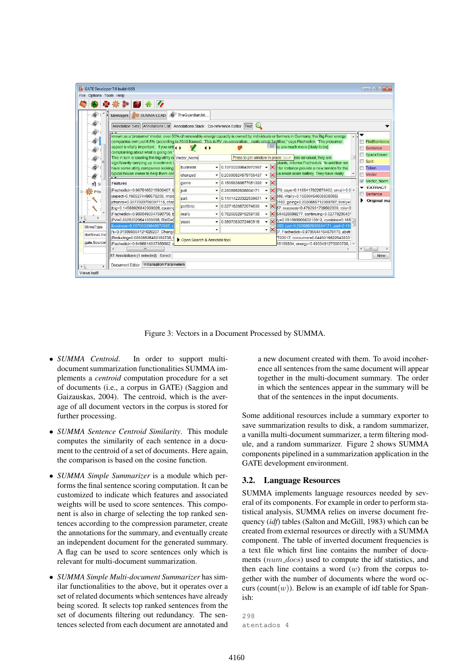

Figure 3: Vectors in a Document Processed by SUMMA.

- *SUMMA Centroid*. In order to support multidocument summarization functionalities SUMMA implements a *centroid* computation procedure for a set of documents (i.e., a corpus in GATE) (Saggion and Gaizauskas, 2004). The centroid, which is the average of all document vectors in the corpus is stored for further processing.
- *SUMMA Sentence Centroid Similarity*. This module computes the similarity of each sentence in a document to the centroid of a set of documents. Here again, the comparison is based on the cosine function.
- *SUMMA Simple Summarizer* is a module which performs the final sentence scoring computation. It can be customized to indicate which features and associated weights will be used to score sentences. This component is also in charge of selecting the top ranked sentences according to the compression parameter, create the annotations for the summary, and eventually create an independent document for the generated summary. A flag can be used to score sentences only which is relevant for multi-document summarization.
- *SUMMA Simple Multi-document Summarizer* has similar functionalities to the above, but it operates over a set of related documents which sentences have already being scored. It selects top ranked sentences from the set of documents filtering out redundancy. The sentences selected from each document are annotated and

a new document created with them. To avoid incoherence all sentences from the same document will appear together in the multi-document summary. The order in which the sentences appear in the summary will be that of the sentences in the input documents.

Some additional resources include a summary exporter to save summarization results to disk, a random summarizer, a vanilla multi-document summarizer, a term filtering module, and a random summarizer. Figure 2 shows SUMMA components pipelined in a summarization application in the GATE development environment.

## 3.2. Language Resources

SUMMA implements language resources needed by several of its components. For example in order to perform statistical analysis, SUMMA relies on inverse document frequency (*idf*) tables (Salton and McGill, 1983) which can be created from external resources or directly with a SUMMA component. The table of inverted document frequencies is a text file which first line contains the number of documents ( $num\_docs$ ) used to compute the idf statistics, and then each line contains a word  $(w)$  from the corpus together with the number of documents where the word occurs (count(w)). Below is an example of idf table for Spanish:

```
298
atentados 4
```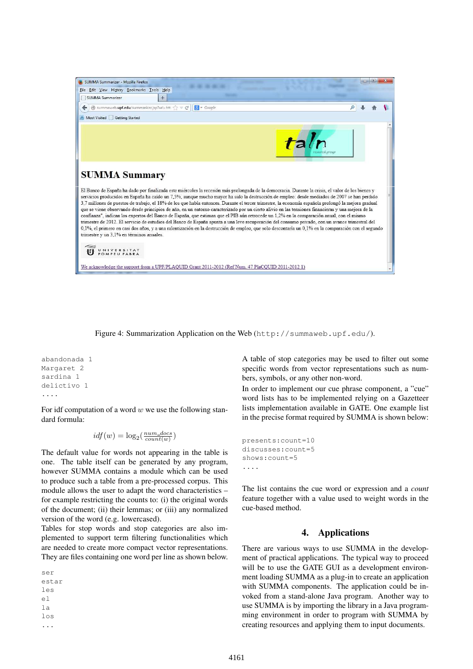

Figure 4: Summarization Application on the Web (http://summaweb.upf.edu/).

```
abandonada 1
Margaret 2
sardina 1
delictivo 1
....
```
For idf computation of a word  $w$  we use the following standard formula:

$$
idf(w) = log_2(\frac{num\_docs}{count(w)})
$$

The default value for words not appearing in the table is one. The table itself can be generated by any program, however SUMMA contains a module which can be used to produce such a table from a pre-processed corpus. This module allows the user to adapt the word characteristics – for example restricting the counts to: (i) the original words of the document; (ii) their lemmas; or (iii) any normalized version of the word (e.g. lowercased).

Tables for stop words and stop categories are also implemented to support term filtering functionalities which are needed to create more compact vector representations. They are files containing one word per line as shown below.

ser estar les el la los ...

A table of stop categories may be used to filter out some specific words from vector representations such as numbers, symbols, or any other non-word.

In order to implement our cue phrase component, a "cue" word lists has to be implemented relying on a Gazetteer lists implementation available in GATE. One example list in the precise format required by SUMMA is shown below:

```
presents:count=10
discusses:count=5
shows:count=5
....
```
The list contains the cue word or expression and a *count* feature together with a value used to weight words in the cue-based method.

## 4. Applications

There are various ways to use SUMMA in the development of practical applications. The typical way to proceed will be to use the GATE GUI as a development environment loading SUMMA as a plug-in to create an application with SUMMA components. The application could be invoked from a stand-alone Java program. Another way to use SUMMA is by importing the library in a Java programming environment in order to program with SUMMA by creating resources and applying them to input documents.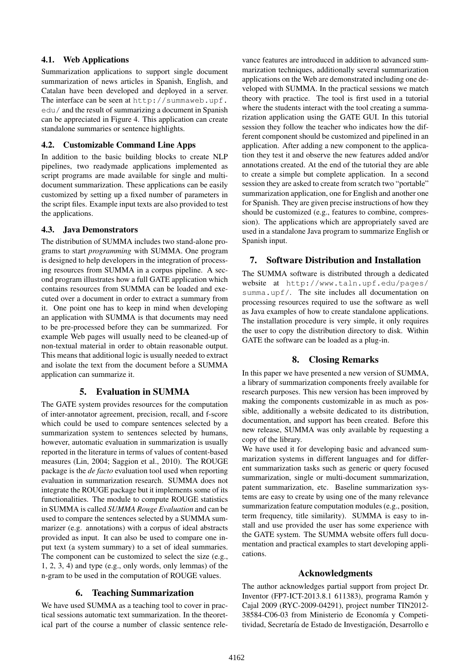### 4.1. Web Applications

Summarization applications to support single document summarization of news articles in Spanish, English, and Catalan have been developed and deployed in a server. The interface can be seen at http://summaweb.upf. edu/ and the result of summarizing a document in Spanish can be appreciated in Figure 4. This application can create standalone summaries or sentence highlights.

### 4.2. Customizable Command Line Apps

In addition to the basic building blocks to create NLP pipelines, two readymade applications implemented as script programs are made available for single and multidocument summarization. These applications can be easily customized by setting up a fixed number of parameters in the script files. Example input texts are also provided to test the applications.

### 4.3. Java Demonstrators

The distribution of SUMMA includes two stand-alone programs to start *programming* with SUMMA. One program is designed to help developers in the integration of processing resources from SUMMA in a corpus pipeline. A second program illustrates how a full GATE application which contains resources from SUMMA can be loaded and executed over a document in order to extract a summary from it. One point one has to keep in mind when developing an application with SUMMA is that documents may need to be pre-processed before they can be summarized. For example Web pages will usually need to be cleaned-up of non-textual material in order to obtain reasonable output. This means that additional logic is usually needed to extract and isolate the text from the document before a SUMMA application can summarize it.

## 5. Evaluation in SUMMA

The GATE system provides resources for the computation of inter-annotator agreement, precision, recall, and f-score which could be used to compare sentences selected by a summarization system to sentences selected by humans, however, automatic evaluation in summarization is usually reported in the literature in terms of values of content-based measures (Lin, 2004; Saggion et al., 2010). The ROUGE package is the *de facto* evaluation tool used when reporting evaluation in summarization research. SUMMA does not integrate the ROUGE package but it implements some of its functionalities. The module to compute ROUGE statistics in SUMMA is called *SUMMA Rouge Evaluation* and can be used to compare the sentences selected by a SUMMA summarizer (e.g. annotations) with a corpus of ideal abstracts provided as input. It can also be used to compare one input text (a system summary) to a set of ideal summaries. The component can be customized to select the size (e.g., 1, 2, 3, 4) and type (e.g., only words, only lemmas) of the n-gram to be used in the computation of ROUGE values.

## 6. Teaching Summarization

We have used SUMMA as a teaching tool to cover in practical sessions automatic text summarization. In the theoretical part of the course a number of classic sentence relevance features are introduced in addition to advanced summarization techniques, additionally several summarization applications on the Web are demonstrated including one developed with SUMMA. In the practical sessions we match theory with practice. The tool is first used in a tutorial where the students interact with the tool creating a summarization application using the GATE GUI. In this tutorial session they follow the teacher who indicates how the different component should be customized and pipelined in an application. After adding a new component to the application they test it and observe the new features added and/or annotations created. At the end of the tutorial they are able to create a simple but complete application. In a second session they are asked to create from scratch two "portable" summarization application, one for English and another one for Spanish. They are given precise instructions of how they should be customized (e.g., features to combine, compression). The applications which are appropriately saved are used in a standalone Java program to summarize English or Spanish input.

## 7. Software Distribution and Installation

The SUMMA software is distributed through a dedicated website at http://www.taln.upf.edu/pages/ summa.upf/. The site includes all documentation on processing resources required to use the software as well as Java examples of how to create standalone applications. The installation procedure is very simple, it only requires the user to copy the distribution directory to disk. Within GATE the software can be loaded as a plug-in.

## 8. Closing Remarks

In this paper we have presented a new version of SUMMA, a library of summarization components freely available for research purposes. This new version has been improved by making the components customizable in as much as possible, additionally a website dedicated to its distribution, documentation, and support has been created. Before this new release, SUMMA was only available by requesting a copy of the library.

We have used it for developing basic and advanced summarization systems in different languages and for different summarization tasks such as generic or query focused summarization, single or multi-document summarization, patent summarization, etc. Baseline summarization systems are easy to create by using one of the many relevance summarization feature computation modules (e.g., position, term frequency, title similarity). SUMMA is easy to install and use provided the user has some experience with the GATE system. The SUMMA website offers full documentation and practical examples to start developing applications.

## Acknowledgments

The author acknowledges partial support from project Dr. Inventor (FP7-ICT-2013.8.1 611383), programa Ramón y Cajal 2009 (RYC-2009-04291), project number TIN2012- 38584-C06-03 from Ministerio de Economía y Competitividad, Secretaría de Estado de Investigación, Desarrollo e